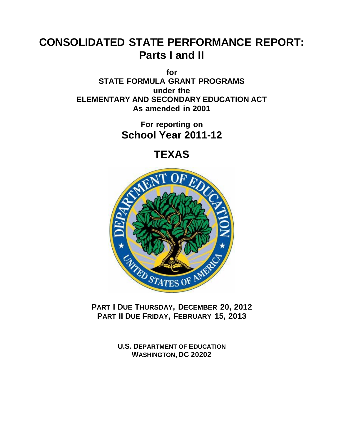# **CONSOLIDATED STATE PERFORMANCE REPORT: Parts I and II**

**for STATE FORMULA GRANT PROGRAMS under the ELEMENTARY AND SECONDARY EDUCATION ACT As amended in 2001**

> **For reporting on School Year 2011-12**

> > **TEXAS**



**PART I DUE THURSDAY, DECEMBER 20, 2012 PART II DUE FRIDAY, FEBRUARY 15, 2013**

> **U.S. DEPARTMENT OF EDUCATION WASHINGTON, DC 20202**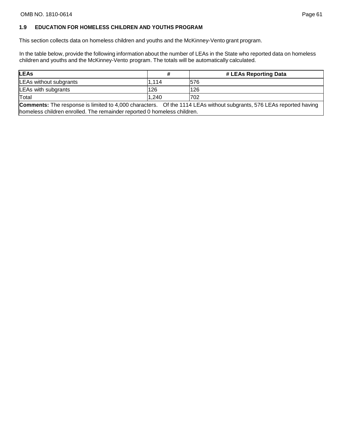This section collects data on homeless children and youths and the McKinney-Vento grant program.

In the table below, provide the following information about the number of LEAs in the State who reported data on homeless children and youths and the McKinney-Vento program. The totals will be automatically calculated.

| <b>LEAs</b>                                                                                                           |       | # LEAs Reporting Data |  |
|-----------------------------------------------------------------------------------------------------------------------|-------|-----------------------|--|
| LEAs without subgrants                                                                                                | 114   | 1576                  |  |
| LEAs with subgrants                                                                                                   | 126   | 126                   |  |
| Total                                                                                                                 | 1.240 | 702                   |  |
| <u> IA concerte The concerte Perfective Alaan december - Africa Alaat EA - Michael Locate E7A LEA - concert de lo</u> |       |                       |  |

**Comments:** The response is limited to 4,000 characters. Of the 1114 LEAs without subgrants, 576 LEAs reported having homeless children enrolled. The remainder reported 0 homeless children.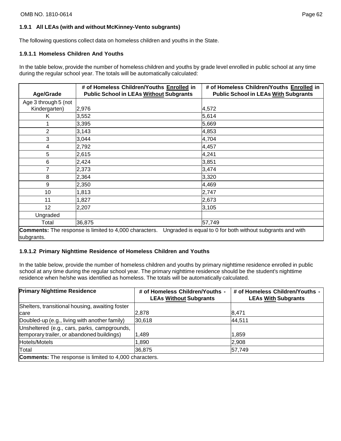subgrants.

## **1.9.1 All LEAs (with and without McKinney-Vento subgrants)**

The following questions collect data on homeless children and youths in the State.

## **1.9.1.1 Homeless Children And Youths**

In the table below, provide the number of homeless children and youths by grade level enrolled in public school at any time during the regular school year. The totals will be automatically calculated:

| Age/Grade                                                                                                                   | # of Homeless Children/Youths Enrolled in<br><b>Public School in LEAs Without Subgrants</b> | # of Homeless Children/Youths Enrolled in<br><b>Public School in LEAs With Subgrants</b> |
|-----------------------------------------------------------------------------------------------------------------------------|---------------------------------------------------------------------------------------------|------------------------------------------------------------------------------------------|
| Age 3 through 5 (not                                                                                                        |                                                                                             |                                                                                          |
| Kindergarten)                                                                                                               | 2,976                                                                                       | 4,572                                                                                    |
| Κ                                                                                                                           | 3,552                                                                                       | 5,614                                                                                    |
|                                                                                                                             | 3,395                                                                                       | 5,669                                                                                    |
| 2                                                                                                                           | 3,143                                                                                       | 4,853                                                                                    |
| 3                                                                                                                           | 3,044                                                                                       | 4,704                                                                                    |
| 4                                                                                                                           | 2,792                                                                                       | 4,457                                                                                    |
| 5                                                                                                                           | 2,615                                                                                       | 4,241                                                                                    |
| 6                                                                                                                           | 2,424                                                                                       | 3,851                                                                                    |
| 7                                                                                                                           | 2,373                                                                                       | 3,474                                                                                    |
| 8                                                                                                                           | 2,364                                                                                       | 3,320                                                                                    |
| 9                                                                                                                           | 2,350                                                                                       | 4,469                                                                                    |
| 10                                                                                                                          | 1,813                                                                                       | 2,747                                                                                    |
| 11                                                                                                                          | 1,827                                                                                       | 2,673                                                                                    |
| 12                                                                                                                          | 2,207                                                                                       | 3,105                                                                                    |
| Ungraded                                                                                                                    |                                                                                             |                                                                                          |
| Total                                                                                                                       | 36,875                                                                                      | 57,749                                                                                   |
| <b>Comments:</b> The response is limited to 4,000 characters.<br>Ungraded is equal to 0 for both without subgrants and with |                                                                                             |                                                                                          |

## **1.9.1.2 Primary Nighttime Residence of Homeless Children and Youths**

In the table below, provide the number of homeless children and youths by primary nighttime residence enrolled in public school at any time during the regular school year. The primary nighttime residence should be the student's nighttime residence when he/she was identified as homeless. The totals will be automatically calculated.

| <b>Primary Nighttime Residence</b>                                                         | # of Homeless Children/Youths -<br><b>LEAs Without Subgrants</b> | # of Homeless Children/Youths -<br><b>LEAs With Subgrants</b> |  |
|--------------------------------------------------------------------------------------------|------------------------------------------------------------------|---------------------------------------------------------------|--|
| Shelters, transitional housing, awaiting foster                                            |                                                                  |                                                               |  |
| care                                                                                       | 2,878                                                            | 8,471                                                         |  |
| Doubled-up (e.g., living with another family)                                              | 30,618                                                           | 44,511                                                        |  |
| Unsheltered (e.g., cars, parks, campgrounds,<br>temporary trailer, or abandoned buildings) | 1,489                                                            | 1,859                                                         |  |
| Hotels/Motels                                                                              | .890                                                             | 2,908                                                         |  |
| Total                                                                                      | 36,875                                                           | 57,749                                                        |  |
| <b>Comments:</b> The response is limited to 4,000 characters.                              |                                                                  |                                                               |  |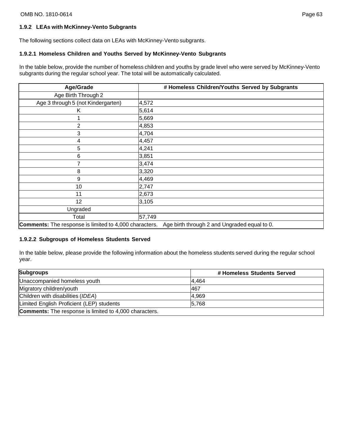# **1.9.2 LEAs with McKinney-Vento Subgrants**

The following sections collect data on LEAs with McKinney-Vento subgrants.

# **1.9.2.1 Homeless Children and Youths Served by McKinney-Vento Subgrants**

In the table below, provide the number of homeless children and youths by grade level who were served by McKinney-Vento subgrants during the regular school year. The total will be automatically calculated.

| Age/Grade                                                     | # Homeless Children/Youths Served by Subgrants |
|---------------------------------------------------------------|------------------------------------------------|
| Age Birth Through 2                                           |                                                |
| Age 3 through 5 (not Kindergarten)                            | 4,572                                          |
| Κ                                                             | 5,614                                          |
|                                                               | 5,669                                          |
| $\overline{2}$                                                | 4,853                                          |
| 3                                                             | 4,704                                          |
| 4                                                             | 4,457                                          |
| 5                                                             | 4,241                                          |
| 6                                                             | 3,851                                          |
| 7                                                             | 3,474                                          |
| 8                                                             | 3,320                                          |
| 9                                                             | 4,469                                          |
| 10                                                            | 2,747                                          |
| 11                                                            | 2,673                                          |
| 12                                                            | 3,105                                          |
| Ungraded                                                      |                                                |
| Total                                                         | 57,749                                         |
| <b>Comments:</b> The response is limited to 4,000 characters. | Age birth through 2 and Ungraded equal to 0.   |

## **1.9.2.2 Subgroups of Homeless Students Served**

In the table below, please provide the following information about the homeless students served during the regular school year.

| <b>Subgroups</b>                                              | # Homeless Students Served |  |
|---------------------------------------------------------------|----------------------------|--|
| Unaccompanied homeless youth                                  | 4.464                      |  |
| Migratory children/youth                                      | 467                        |  |
| Children with disabilities (IDEA)                             | 4,969                      |  |
| Limited English Proficient (LEP) students                     | 5,768                      |  |
| <b>Comments:</b> The response is limited to 4,000 characters. |                            |  |